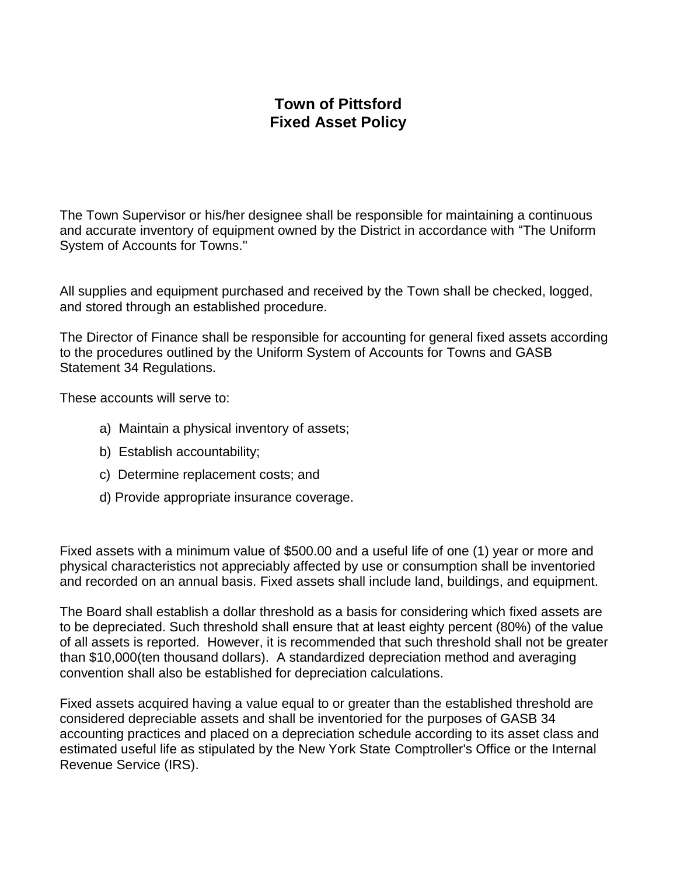## **Town of Pittsford Fixed Asset Policy**

The Town Supervisor or his/her designee shall be responsible for maintaining a continuous and accurate inventory of equipment owned by the District in accordance with "The Uniform System of Accounts for Towns."

All supplies and equipment purchased and received by the Town shall be checked, logged, and stored through an established procedure.

The Director of Finance shall be responsible for accounting for general fixed assets according to the procedures outlined by the Uniform System of Accounts for Towns and GASB Statement 34 Regulations.

These accounts will serve to:

- a) Maintain a physical inventory of assets;
- b) Establish accountability;
- c) Determine replacement costs; and
- d) Provide appropriate insurance coverage.

Fixed assets with a minimum value of \$500.00 and a useful life of one (1) year or more and physical characteristics not appreciably affected by use or consumption shall be inventoried and recorded on an annual basis. Fixed assets shall include land, buildings, and equipment.

The Board shall establish a dollar threshold as a basis for considering which fixed assets are to be depreciated. Such threshold shall ensure that at least eighty percent (80%) of the value of all assets is reported. However, it is recommended that such threshold shall not be greater than \$10,000(ten thousand dollars). A standardized depreciation method and averaging convention shall also be established for depreciation calculations.

Fixed assets acquired having a value equal to or greater than the established threshold are considered depreciable assets and shall be inventoried for the purposes of GASB 34 accounting practices and placed on a depreciation schedule according to its asset class and estimated useful life as stipulated by the New York State Comptroller's Office or the Internal Revenue Service (IRS).